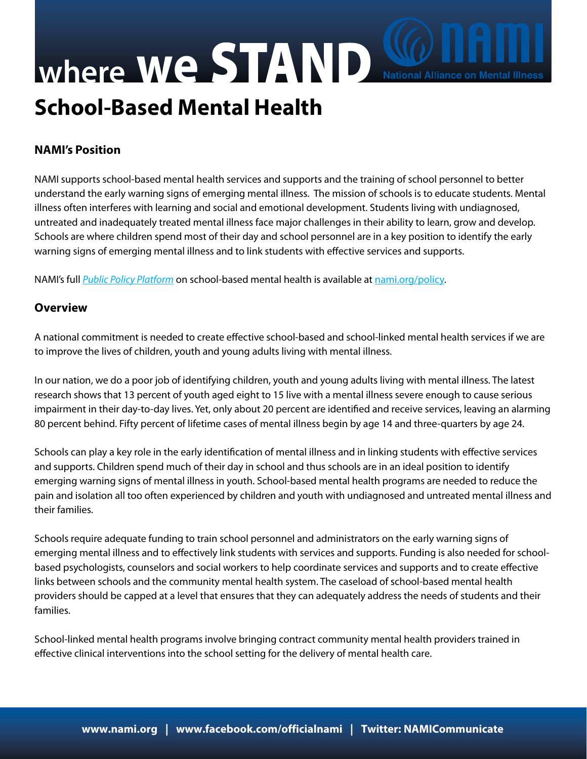## **School-Based Mental Health where We STAND** National Alliance on Mental Illness

## **NAMI's Position**

NAMI supports school-based mental health services and supports and the training of school personnel to better understand the early warning signs of emerging mental illness. The mission of schools is to educate students. Mental illness often interferes with learning and social and emotional development. Students living with undiagnosed, untreated and inadequately treated mental illness face major challenges in their ability to learn, grow and develop. Schools are where children spend most of their day and school personnel are in a key position to identify the early warning signs of emerging mental illness and to link students with effective services and supports.

NAMI's full *[Public Policy Platform](http://www.nami.org/template.cfm?section=NAMI_Policy_Platform)* on school-based mental health is available at [nami.org/policy.](http://nami.org/template.cfm?section=about_public_policy)

## **Overview**

A national commitment is needed to create effective school-based and school-linked mental health services if we are to improve the lives of children, youth and young adults living with mental illness.

In our nation, we do a poor job of identifying children, youth and young adults living with mental illness. The latest research shows that 13 percent of youth aged eight to 15 live with a mental illness severe enough to cause serious impairment in their day-to-day lives. Yet, only about 20 percent are identified and receive services, leaving an alarming 80 percent behind. Fifty percent of lifetime cases of mental illness begin by age 14 and three-quarters by age 24.

Schools can play a key role in the early identification of mental illness and in linking students with effective services and supports. Children spend much of their day in school and thus schools are in an ideal position to identify emerging warning signs of mental illness in youth. School-based mental health programs are needed to reduce the pain and isolation all too often experienced by children and youth with undiagnosed and untreated mental illness and their families.

Schools require adequate funding to train school personnel and administrators on the early warning signs of emerging mental illness and to effectively link students with services and supports. Funding is also needed for schoolbased psychologists, counselors and social workers to help coordinate services and supports and to create effective links between schools and the community mental health system. The caseload of school-based mental health providers should be capped at a level that ensures that they can adequately address the needs of students and their families.

School-linked mental health programs involve bringing contract community mental health providers trained in effective clinical interventions into the school setting for the delivery of mental health care.